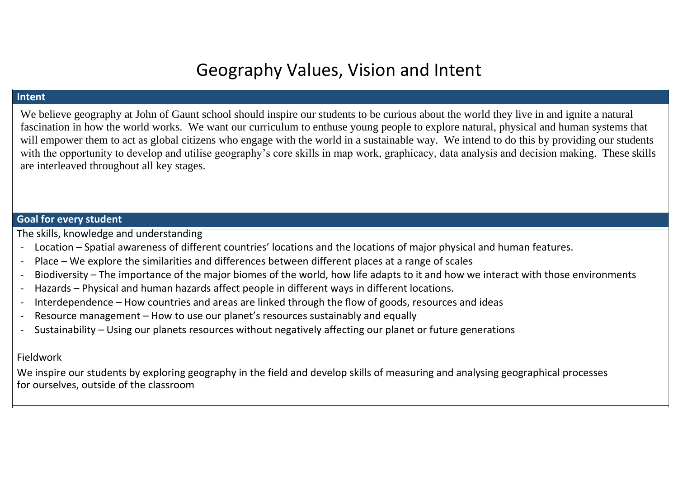# Geography Values, Vision and Intent

#### **Intent**

We believe geography at John of Gaunt school should inspire our students to be curious about the world they live in and ignite a natural fascination in how the world works. We want our curriculum to enthuse young people to explore natural, physical and human systems that will empower them to act as global citizens who engage with the world in a sustainable way. We intend to do this by providing our students with the opportunity to develop and utilise geography's core skills in map work, graphicacy, data analysis and decision making. These skills are interleaved throughout all key stages.

## **Goal for every student**

The skills, knowledge and understanding

- Location Spatial awareness of different countries' locations and the locations of major physical and human features.
- Place We explore the similarities and differences between different places at a range of scales
- Biodiversity The importance of the major biomes of the world, how life adapts to it and how we interact with those environments
- Hazards Physical and human hazards affect people in different ways in different locations.
- Interdependence How countries and areas are linked through the flow of goods, resources and ideas
- Resource management How to use our planet's resources sustainably and equally
- Sustainability Using our planets resources without negatively affecting our planet or future generations

### Fieldwork

We inspire our students by exploring geography in the field and develop skills of measuring and analysing geographical processes for ourselves, outside of the classroom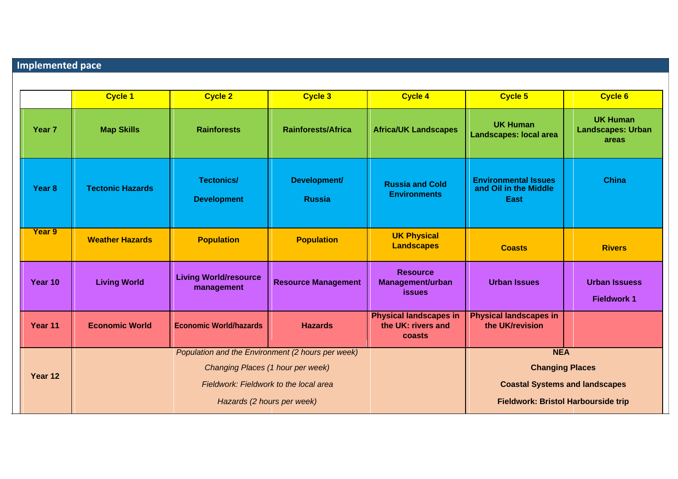## **Implemented pace**

|                   | <b>Cycle 1</b>                                    | <b>Cycle 2</b>                             | <b>Cycle 3</b>                | <b>Cycle 4</b>                                                | <b>Cycle 5</b>                                                      | <b>Cycle 6</b>                                       |
|-------------------|---------------------------------------------------|--------------------------------------------|-------------------------------|---------------------------------------------------------------|---------------------------------------------------------------------|------------------------------------------------------|
| Year <sub>7</sub> | <b>Map Skills</b>                                 | <b>Rainforests</b>                         | <b>Rainforests/Africa</b>     | <b>Africa/UK Landscapes</b>                                   | <b>UK Human</b><br><b>Landscapes: local area</b>                    | <b>UK Human</b><br><b>Landscapes: Urban</b><br>areas |
| Year <sub>8</sub> | <b>Tectonic Hazards</b>                           | <b>Tectonics/</b><br><b>Development</b>    | Development/<br><b>Russia</b> | <b>Russia and Cold</b><br><b>Environments</b>                 | <b>Environmental Issues</b><br>and Oil in the Middle<br><b>East</b> | <b>China</b>                                         |
| Year 9            | <b>Weather Hazards</b>                            | <b>Population</b>                          | <b>Population</b>             | <b>UK Physical</b><br><b>Landscapes</b>                       | <b>Coasts</b>                                                       | <b>Rivers</b>                                        |
| Year 10           | <b>Living World</b>                               | <b>Living World/resource</b><br>management | <b>Resource Management</b>    | <b>Resource</b><br>Management/urban<br><b>issues</b>          | <b>Urban Issues</b>                                                 | <b>Urban Issuess</b><br><b>Fieldwork 1</b>           |
| Year 11           | <b>Economic World</b>                             | <b>Economic World/hazards</b>              | <b>Hazards</b>                | <b>Physical landscapes in</b><br>the UK: rivers and<br>coasts | <b>Physical landscapes in</b><br>the UK/revision                    |                                                      |
|                   | Population and the Environment (2 hours per week) |                                            |                               |                                                               | <b>NEA</b>                                                          |                                                      |
| Year 12           | Changing Places (1 hour per week)                 |                                            |                               |                                                               | <b>Changing Places</b>                                              |                                                      |
|                   |                                                   | Fieldwork: Fieldwork to the local area     |                               |                                                               | <b>Coastal Systems and landscapes</b>                               |                                                      |
|                   |                                                   | Hazards (2 hours per week)                 |                               |                                                               | <b>Fieldwork: Bristol Harbourside trip</b>                          |                                                      |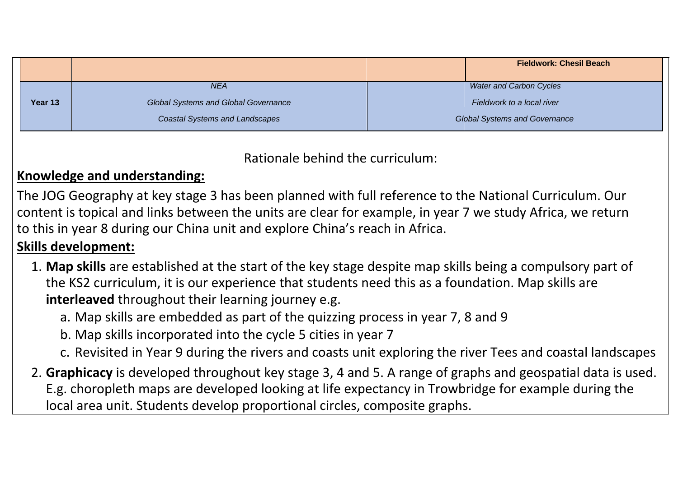|         |  |                                             |                                      | <b>Fieldwork: Chesil Beach</b> |
|---------|--|---------------------------------------------|--------------------------------------|--------------------------------|
|         |  | <b>NEA</b>                                  |                                      | <b>Water and Carbon Cycles</b> |
| Year 13 |  | <b>Global Systems and Global Governance</b> | Fieldwork to a local river           |                                |
|         |  | <b>Coastal Systems and Landscapes</b>       | <b>Global Systems and Governance</b> |                                |

Rationale behind the curriculum:

# **Knowledge and understanding:**

The JOG Geography at key stage 3 has been planned with full reference to the National Curriculum. Our content is topical and links between the units are clear for example, in year 7 we study Africa, we return to this in year 8 during our China unit and explore China's reach in Africa.

# **Skills development:**

- 1. **Map skills** are established at the start of the key stage despite map skills being a compulsory part of the KS2 curriculum, it is our experience that students need this as a foundation. Map skills are **interleaved** throughout their learning journey e.g.
	- a. Map skills are embedded as part of the quizzing process in year 7, 8 and 9
	- b. Map skills incorporated into the cycle 5 cities in year 7
	- c. Revisited in Year 9 during the rivers and coasts unit exploring the river Tees and coastal landscapes
- 2. **Graphicacy** is developed throughout key stage 3, 4 and 5. A range of graphs and geospatial data is used. E.g. choropleth maps are developed looking at life expectancy in Trowbridge for example during the local area unit. Students develop proportional circles, composite graphs.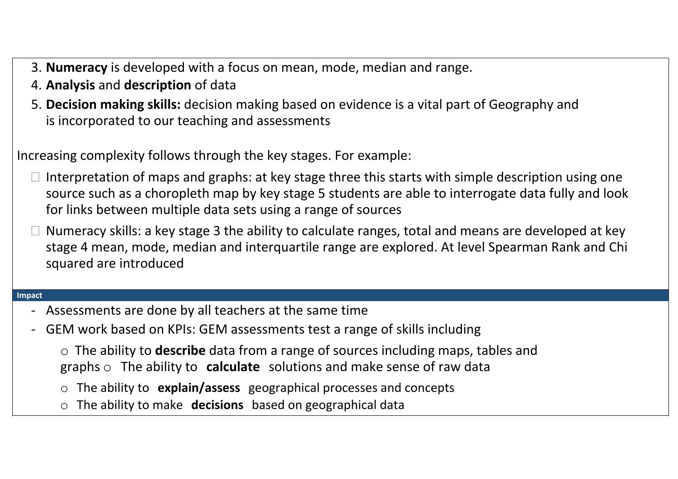- 3. **Numeracy** is developed with a focus on mean, mode, median and range.
- 4. **Analysis** and **description** of data
- 5. **Decision making skills:** decision making based on evidence is a vital part of Geography and is incorporated to our teaching and assessments

Increasing complexity follows through the key stages. For example:

- $\Box$  Interpretation of maps and graphs: at key stage three this starts with simple description using one source such as a choropleth map by key stage 5 students are able to interrogate data fully and look for links between multiple data sets using a range of sources
- Numeracy skills: a key stage 3 the ability to calculate ranges, total and means are developed at key stage 4 mean, mode, median and interquartile range are explored. At level Spearman Rank and Chi squared are introduced

#### **Impact**

- Assessments are done by all teachers at the same time
- GEM work based on KPIs: GEM assessments test a range of skills including
	- o The ability to **describe** data from a range of sources including maps, tables and graphs o The ability to **calculate** solutions and make sense of raw data
	- o The ability to **explain/assess** geographical processes and concepts
	- o The ability to make **decisions** based on geographical data